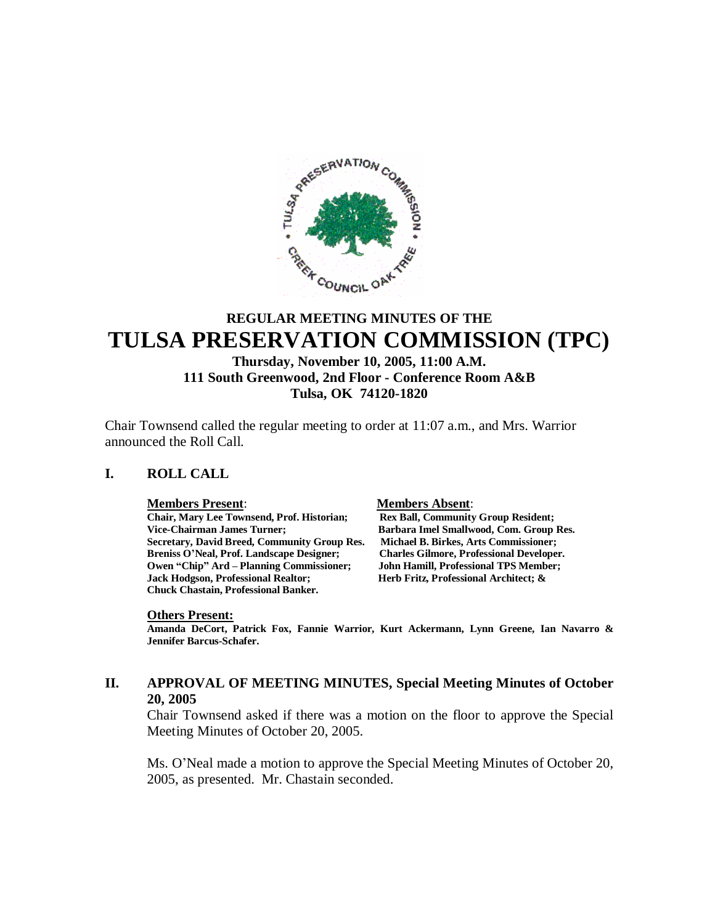

# **REGULAR MEETING MINUTES OF THE TULSA PRESERVATION COMMISSION (TPC)**

# **Thursday, November 10, 2005, 11:00 A.M. 111 South Greenwood, 2nd Floor - Conference Room A&B Tulsa, OK 74120-1820**

Chair Townsend called the regular meeting to order at 11:07 a.m., and Mrs. Warrior announced the Roll Call.

#### **I. ROLL CALL**

#### **Members Present**: **Members Absent**:

**Chair, Mary Lee Townsend, Prof. Historian; Rex Ball, Community Group Resident; Vice-Chairman James Turner; Barbara Imel Smallwood, Com. Group Res. Secretary, David Breed, Community Group Res. Michael B. Birkes, Arts Commissioner; Breniss O'Neal, Prof. Landscape Designer; Charles Gilmore, Professional Developer. Owen "Chip" Ard – Planning Commissioner; John Hamill, Professional TPS Member; Chuck Chastain, Professional Banker.**

**Herb Fritz, Professional Architect; &** 

#### **Others Present:**

**Amanda DeCort, Patrick Fox, Fannie Warrior, Kurt Ackermann, Lynn Greene, Ian Navarro & Jennifer Barcus-Schafer.**

# **II. APPROVAL OF MEETING MINUTES, Special Meeting Minutes of October 20, 2005**

Chair Townsend asked if there was a motion on the floor to approve the Special Meeting Minutes of October 20, 2005.

Ms. O'Neal made a motion to approve the Special Meeting Minutes of October 20, 2005, as presented. Mr. Chastain seconded.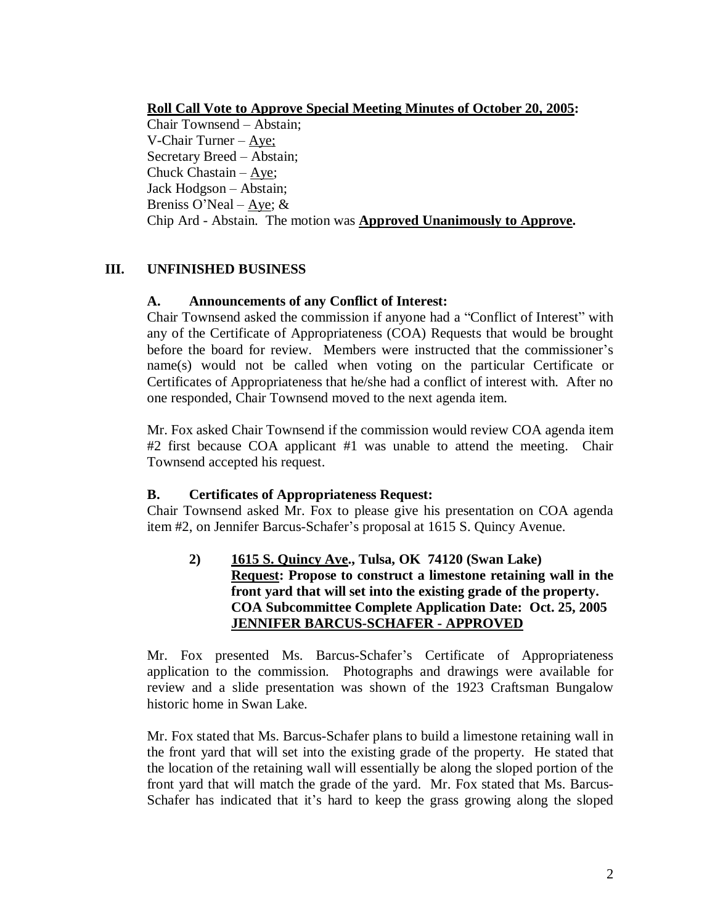**Roll Call Vote to Approve Special Meeting Minutes of October 20, 2005:**

Chair Townsend – Abstain; V-Chair Turner –Aye; Secretary Breed – Abstain; Chuck Chastain –  $\angle$ Aye; Jack Hodgson – Abstain; Breniss O'Neal –  $\angle$ Aye; & Chip Ard - Abstain. The motion was **Approved Unanimously to Approve.**

# **III. UNFINISHED BUSINESS**

# **A. Announcements of any Conflict of Interest:**

Chair Townsend asked the commission if anyone had a "Conflict of Interest" with any of the Certificate of Appropriateness (COA) Requests that would be brought before the board for review. Members were instructed that the commissioner's name(s) would not be called when voting on the particular Certificate or Certificates of Appropriateness that he/she had a conflict of interest with. After no one responded, Chair Townsend moved to the next agenda item.

Mr. Fox asked Chair Townsend if the commission would review COA agenda item #2 first because COA applicant #1 was unable to attend the meeting. Chair Townsend accepted his request.

# **B. Certificates of Appropriateness Request:**

Chair Townsend asked Mr. Fox to please give his presentation on COA agenda item #2, on Jennifer Barcus-Schafer's proposal at 1615 S. Quincy Avenue.

# **2) 1615 S. Quincy Ave., Tulsa, OK 74120 (Swan Lake) Request: Propose to construct a limestone retaining wall in the front yard that will set into the existing grade of the property. COA Subcommittee Complete Application Date: Oct. 25, 2005 JENNIFER BARCUS-SCHAFER - APPROVED**

Mr. Fox presented Ms. Barcus-Schafer's Certificate of Appropriateness application to the commission. Photographs and drawings were available for review and a slide presentation was shown of the 1923 Craftsman Bungalow historic home in Swan Lake.

Mr. Fox stated that Ms. Barcus-Schafer plans to build a limestone retaining wall in the front yard that will set into the existing grade of the property. He stated that the location of the retaining wall will essentially be along the sloped portion of the front yard that will match the grade of the yard. Mr. Fox stated that Ms. Barcus-Schafer has indicated that it's hard to keep the grass growing along the sloped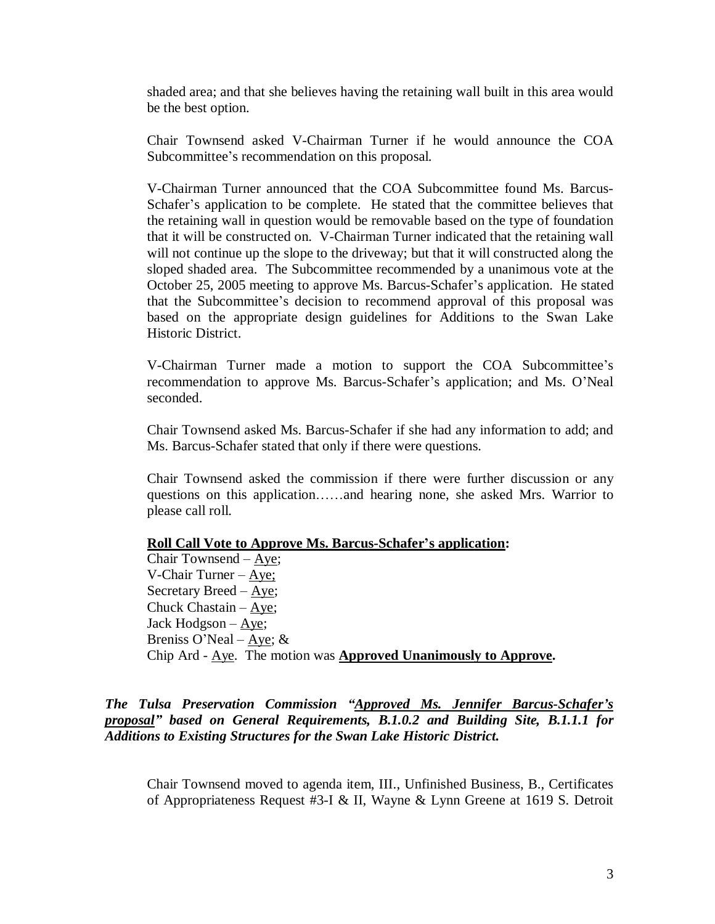shaded area; and that she believes having the retaining wall built in this area would be the best option.

Chair Townsend asked V-Chairman Turner if he would announce the COA Subcommittee's recommendation on this proposal.

V-Chairman Turner announced that the COA Subcommittee found Ms. Barcus-Schafer's application to be complete. He stated that the committee believes that the retaining wall in question would be removable based on the type of foundation that it will be constructed on. V-Chairman Turner indicated that the retaining wall will not continue up the slope to the driveway; but that it will constructed along the sloped shaded area. The Subcommittee recommended by a unanimous vote at the October 25, 2005 meeting to approve Ms. Barcus-Schafer's application. He stated that the Subcommittee's decision to recommend approval of this proposal was based on the appropriate design guidelines for Additions to the Swan Lake Historic District.

V-Chairman Turner made a motion to support the COA Subcommittee's recommendation to approve Ms. Barcus-Schafer's application; and Ms. O'Neal seconded.

Chair Townsend asked Ms. Barcus-Schafer if she had any information to add; and Ms. Barcus-Schafer stated that only if there were questions.

Chair Townsend asked the commission if there were further discussion or any questions on this application……and hearing none, she asked Mrs. Warrior to please call roll.

#### **Roll Call Vote to Approve Ms. Barcus-Schafer's application:**

Chair Townsend –Aye; V-Chair Turner –Aye; Secretary Breed –Aye; Chuck Chastain –  $Aye$ ; Jack Hodgson –Aye; Breniss O'Neal –  $\angle$ Aye; & Chip Ard - Aye. The motion was **Approved Unanimously to Approve.**

# *The Tulsa Preservation Commission "Approved Ms. Jennifer Barcus-Schafer's proposal" based on General Requirements, B.1.0.2 and Building Site, B.1.1.1 for Additions to Existing Structures for the Swan Lake Historic District.*

Chair Townsend moved to agenda item, III., Unfinished Business, B., Certificates of Appropriateness Request #3-I & II, Wayne & Lynn Greene at 1619 S. Detroit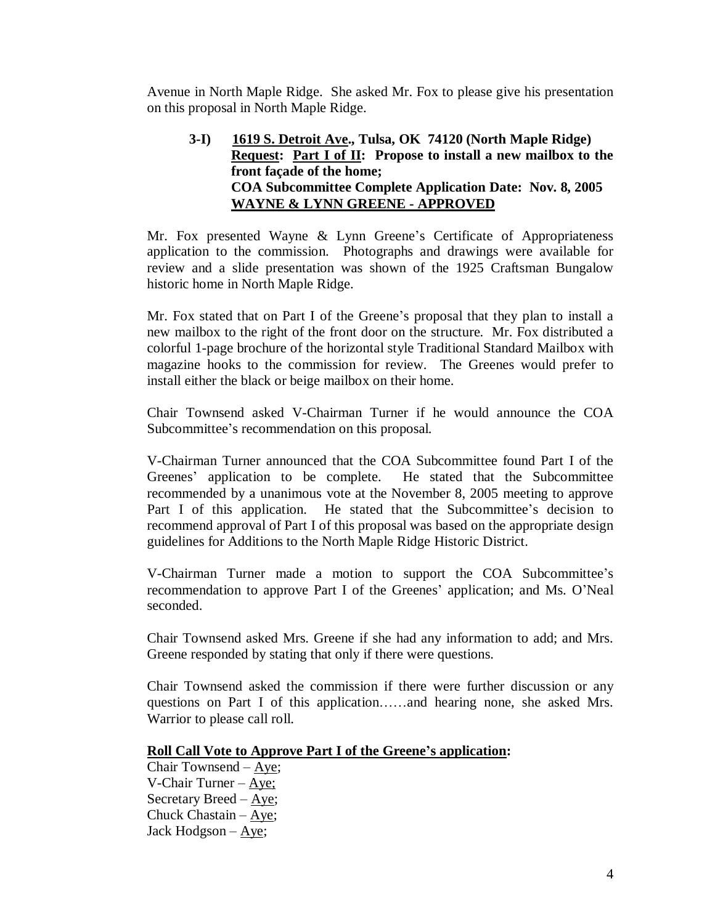Avenue in North Maple Ridge. She asked Mr. Fox to please give his presentation on this proposal in North Maple Ridge.

# **3-I) 1619 S. Detroit Ave., Tulsa, OK 74120 (North Maple Ridge) Request: Part I of II: Propose to install a new mailbox to the front façade of the home; COA Subcommittee Complete Application Date: Nov. 8, 2005 WAYNE & LYNN GREENE - APPROVED**

Mr. Fox presented Wayne & Lynn Greene's Certificate of Appropriateness application to the commission. Photographs and drawings were available for review and a slide presentation was shown of the 1925 Craftsman Bungalow historic home in North Maple Ridge.

Mr. Fox stated that on Part I of the Greene's proposal that they plan to install a new mailbox to the right of the front door on the structure. Mr. Fox distributed a colorful 1-page brochure of the horizontal style Traditional Standard Mailbox with magazine hooks to the commission for review. The Greenes would prefer to install either the black or beige mailbox on their home.

Chair Townsend asked V-Chairman Turner if he would announce the COA Subcommittee's recommendation on this proposal.

V-Chairman Turner announced that the COA Subcommittee found Part I of the Greenes' application to be complete. He stated that the Subcommittee recommended by a unanimous vote at the November 8, 2005 meeting to approve Part I of this application. He stated that the Subcommittee's decision to recommend approval of Part I of this proposal was based on the appropriate design guidelines for Additions to the North Maple Ridge Historic District.

V-Chairman Turner made a motion to support the COA Subcommittee's recommendation to approve Part I of the Greenes' application; and Ms. O'Neal seconded.

Chair Townsend asked Mrs. Greene if she had any information to add; and Mrs. Greene responded by stating that only if there were questions.

Chair Townsend asked the commission if there were further discussion or any questions on Part I of this application……and hearing none, she asked Mrs. Warrior to please call roll.

# **Roll Call Vote to Approve Part I of the Greene's application:**

Chair Townsend –Aye; V-Chair Turner –  $Aye$ ; Secretary Breed –Aye; Chuck Chastain –Aye; Jack Hodgson –  $Aye$ ;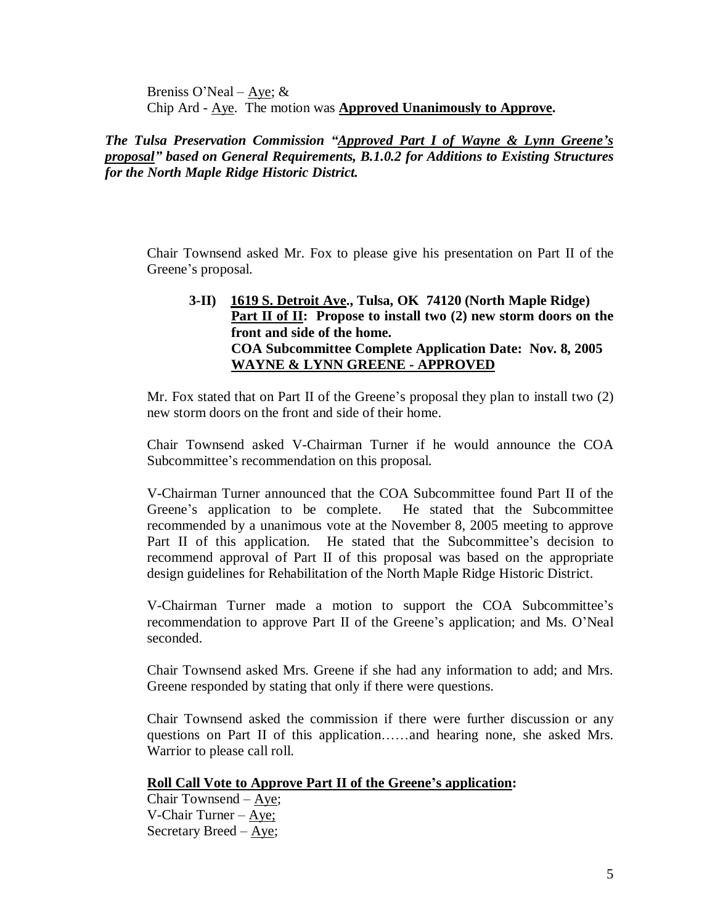Breniss O'Neal – Aye;  $&$ Chip Ard - Aye. The motion was **Approved Unanimously to Approve.**

*The Tulsa Preservation Commission "Approved Part I of Wayne & Lynn Greene's proposal" based on General Requirements, B.1.0.2 for Additions to Existing Structures for the North Maple Ridge Historic District.*

Chair Townsend asked Mr. Fox to please give his presentation on Part II of the Greene's proposal.

**3-II) 1619 S. Detroit Ave., Tulsa, OK 74120 (North Maple Ridge) Part II of II: Propose to install two (2) new storm doors on the front and side of the home. COA Subcommittee Complete Application Date: Nov. 8, 2005 WAYNE & LYNN GREENE - APPROVED**

Mr. Fox stated that on Part II of the Greene's proposal they plan to install two (2) new storm doors on the front and side of their home.

Chair Townsend asked V-Chairman Turner if he would announce the COA Subcommittee's recommendation on this proposal.

V-Chairman Turner announced that the COA Subcommittee found Part II of the Greene's application to be complete. He stated that the Subcommittee recommended by a unanimous vote at the November 8, 2005 meeting to approve Part II of this application. He stated that the Subcommittee's decision to recommend approval of Part II of this proposal was based on the appropriate design guidelines for Rehabilitation of the North Maple Ridge Historic District.

V-Chairman Turner made a motion to support the COA Subcommittee's recommendation to approve Part II of the Greene's application; and Ms. O'Neal seconded.

Chair Townsend asked Mrs. Greene if she had any information to add; and Mrs. Greene responded by stating that only if there were questions.

Chair Townsend asked the commission if there were further discussion or any questions on Part II of this application……and hearing none, she asked Mrs. Warrior to please call roll.

# **Roll Call Vote to Approve Part II of the Greene's application:**

Chair Townsend –Aye; V-Chair Turner –Aye; Secretary Breed  $-\underline{Aye}$ ;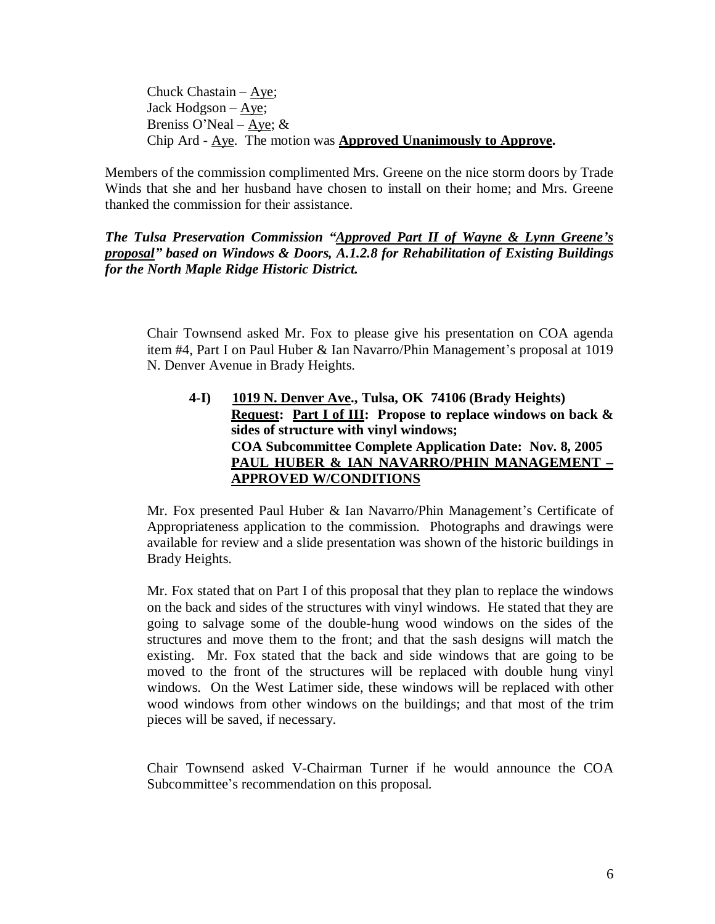Chuck Chastain –Aye; Jack Hodgson –Aye; Breniss O'Neal – Aye;  $&$ Chip Ard - Aye. The motion was **Approved Unanimously to Approve.**

Members of the commission complimented Mrs. Greene on the nice storm doors by Trade Winds that she and her husband have chosen to install on their home; and Mrs. Greene thanked the commission for their assistance.

*The Tulsa Preservation Commission "Approved Part II of Wayne & Lynn Greene's proposal" based on Windows & Doors, A.1.2.8 for Rehabilitation of Existing Buildings for the North Maple Ridge Historic District.*

Chair Townsend asked Mr. Fox to please give his presentation on COA agenda item #4, Part I on Paul Huber & Ian Navarro/Phin Management's proposal at 1019 N. Denver Avenue in Brady Heights.

**4-I) 1019 N. Denver Ave., Tulsa, OK 74106 (Brady Heights) Request: Part I of III: Propose to replace windows on back & sides of structure with vinyl windows; COA Subcommittee Complete Application Date: Nov. 8, 2005 PAUL HUBER & IAN NAVARRO/PHIN MANAGEMENT – APPROVED W/CONDITIONS**

Mr. Fox presented Paul Huber & Ian Navarro/Phin Management's Certificate of Appropriateness application to the commission. Photographs and drawings were available for review and a slide presentation was shown of the historic buildings in Brady Heights.

Mr. Fox stated that on Part I of this proposal that they plan to replace the windows on the back and sides of the structures with vinyl windows. He stated that they are going to salvage some of the double-hung wood windows on the sides of the structures and move them to the front; and that the sash designs will match the existing. Mr. Fox stated that the back and side windows that are going to be moved to the front of the structures will be replaced with double hung vinyl windows. On the West Latimer side, these windows will be replaced with other wood windows from other windows on the buildings; and that most of the trim pieces will be saved, if necessary.

Chair Townsend asked V-Chairman Turner if he would announce the COA Subcommittee's recommendation on this proposal.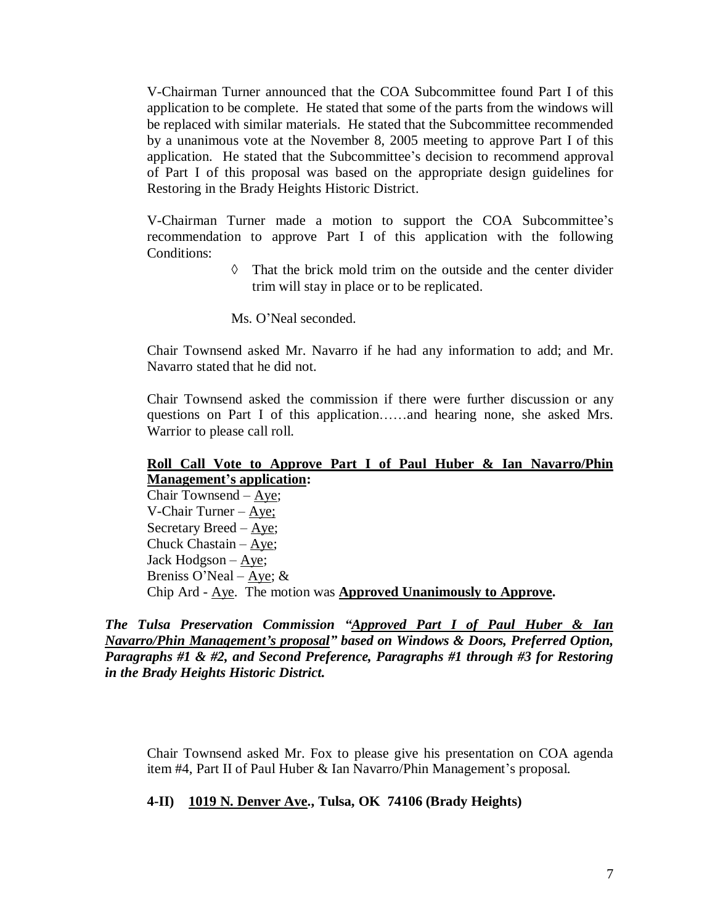V-Chairman Turner announced that the COA Subcommittee found Part I of this application to be complete. He stated that some of the parts from the windows will be replaced with similar materials. He stated that the Subcommittee recommended by a unanimous vote at the November 8, 2005 meeting to approve Part I of this application. He stated that the Subcommittee's decision to recommend approval of Part I of this proposal was based on the appropriate design guidelines for Restoring in the Brady Heights Historic District.

V-Chairman Turner made a motion to support the COA Subcommittee's recommendation to approve Part I of this application with the following Conditions:

> $\Diamond$  That the brick mold trim on the outside and the center divider trim will stay in place or to be replicated.

Ms. O'Neal seconded.

Chair Townsend asked Mr. Navarro if he had any information to add; and Mr. Navarro stated that he did not.

Chair Townsend asked the commission if there were further discussion or any questions on Part I of this application……and hearing none, she asked Mrs. Warrior to please call roll.

# **Roll Call Vote to Approve Part I of Paul Huber & Ian Navarro/Phin Management's application:**

Chair Townsend –Aye; V-Chair Turner –Aye; Secretary Breed –Aye; Chuck Chastain –Aye; Jack Hodgson –Aye; Breniss O'Neal – Aye;  $&$ Chip Ard - Aye. The motion was **Approved Unanimously to Approve.**

*The Tulsa Preservation Commission "Approved Part I of Paul Huber & Ian Navarro/Phin Management's proposal" based on Windows & Doors, Preferred Option, Paragraphs #1 & #2, and Second Preference, Paragraphs #1 through #3 for Restoring in the Brady Heights Historic District.*

Chair Townsend asked Mr. Fox to please give his presentation on COA agenda item #4, Part II of Paul Huber & Ian Navarro/Phin Management's proposal.

#### **4-II) 1019 N. Denver Ave., Tulsa, OK 74106 (Brady Heights)**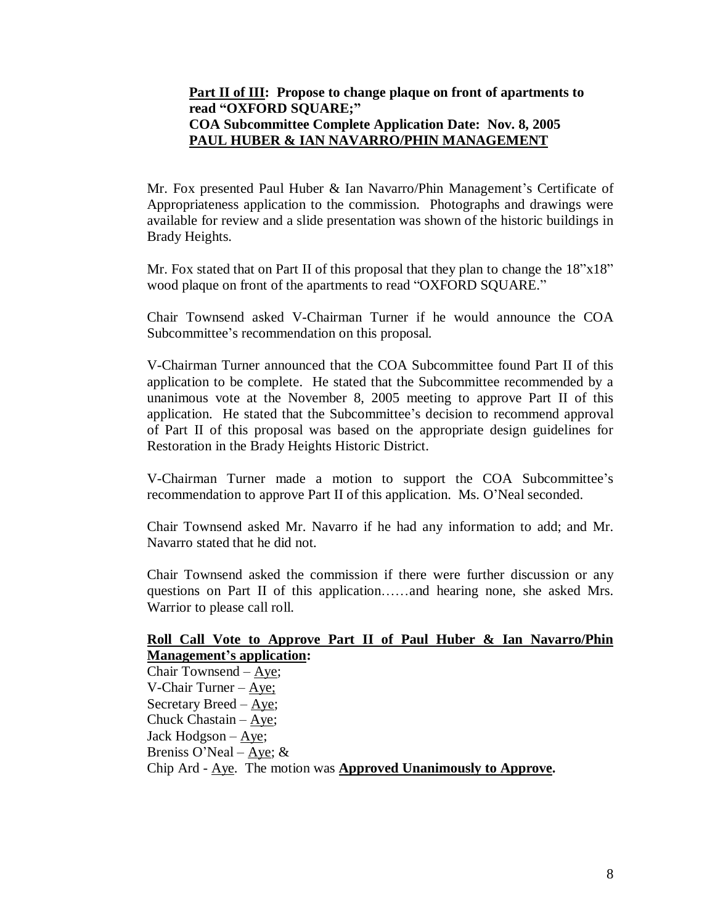# **Part II of III: Propose to change plaque on front of apartments to read "OXFORD SQUARE;" COA Subcommittee Complete Application Date: Nov. 8, 2005 PAUL HUBER & IAN NAVARRO/PHIN MANAGEMENT**

Mr. Fox presented Paul Huber & Ian Navarro/Phin Management's Certificate of Appropriateness application to the commission. Photographs and drawings were available for review and a slide presentation was shown of the historic buildings in Brady Heights.

Mr. Fox stated that on Part II of this proposal that they plan to change the  $18"x18"$ wood plaque on front of the apartments to read "OXFORD SQUARE."

Chair Townsend asked V-Chairman Turner if he would announce the COA Subcommittee's recommendation on this proposal.

V-Chairman Turner announced that the COA Subcommittee found Part II of this application to be complete. He stated that the Subcommittee recommended by a unanimous vote at the November 8, 2005 meeting to approve Part II of this application. He stated that the Subcommittee's decision to recommend approval of Part II of this proposal was based on the appropriate design guidelines for Restoration in the Brady Heights Historic District.

V-Chairman Turner made a motion to support the COA Subcommittee's recommendation to approve Part II of this application. Ms. O'Neal seconded.

Chair Townsend asked Mr. Navarro if he had any information to add; and Mr. Navarro stated that he did not.

Chair Townsend asked the commission if there were further discussion or any questions on Part II of this application……and hearing none, she asked Mrs. Warrior to please call roll.

# **Roll Call Vote to Approve Part II of Paul Huber & Ian Navarro/Phin Management's application:**

Chair Townsend –Aye; V-Chair Turner –Aye; Secretary Breed –Aye; Chuck Chastain –Aye; Jack Hodgson –Aye; Breniss O'Neal – Aye;  $&$ Chip Ard - Aye. The motion was **Approved Unanimously to Approve.**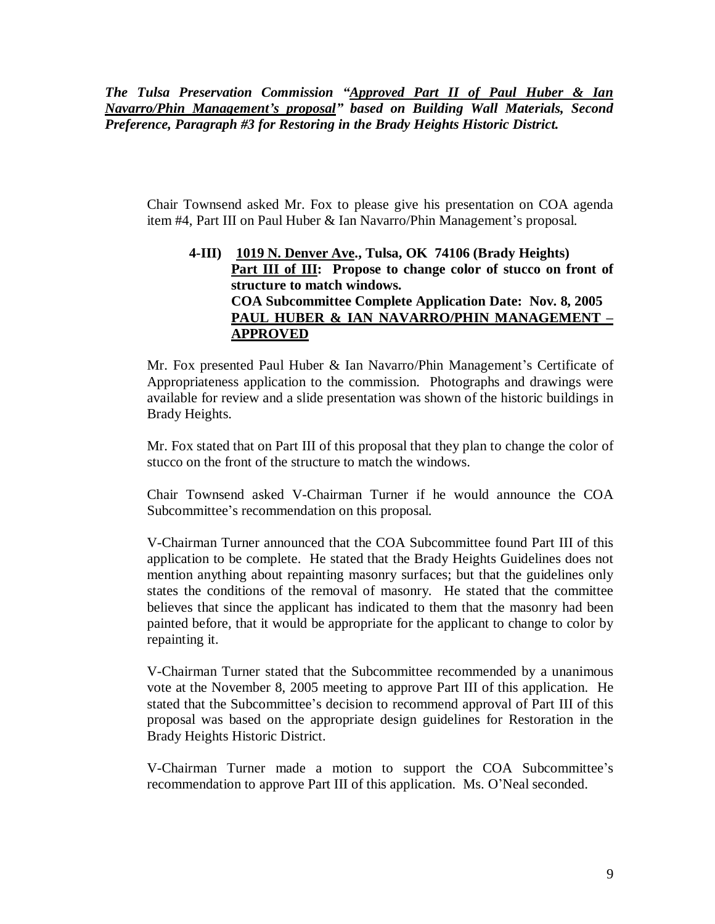*The Tulsa Preservation Commission "Approved Part II of Paul Huber & Ian Navarro/Phin Management's proposal" based on Building Wall Materials, Second Preference, Paragraph #3 for Restoring in the Brady Heights Historic District.*

Chair Townsend asked Mr. Fox to please give his presentation on COA agenda item #4, Part III on Paul Huber & Ian Navarro/Phin Management's proposal.

# **4-III) 1019 N. Denver Ave., Tulsa, OK 74106 (Brady Heights)** Part III of III: Propose to change color of stucco on front of **structure to match windows. COA Subcommittee Complete Application Date: Nov. 8, 2005 PAUL HUBER & IAN NAVARRO/PHIN MANAGEMENT – APPROVED**

Mr. Fox presented Paul Huber & Ian Navarro/Phin Management's Certificate of Appropriateness application to the commission. Photographs and drawings were available for review and a slide presentation was shown of the historic buildings in Brady Heights.

Mr. Fox stated that on Part III of this proposal that they plan to change the color of stucco on the front of the structure to match the windows.

Chair Townsend asked V-Chairman Turner if he would announce the COA Subcommittee's recommendation on this proposal.

V-Chairman Turner announced that the COA Subcommittee found Part III of this application to be complete. He stated that the Brady Heights Guidelines does not mention anything about repainting masonry surfaces; but that the guidelines only states the conditions of the removal of masonry. He stated that the committee believes that since the applicant has indicated to them that the masonry had been painted before, that it would be appropriate for the applicant to change to color by repainting it.

V-Chairman Turner stated that the Subcommittee recommended by a unanimous vote at the November 8, 2005 meeting to approve Part III of this application. He stated that the Subcommittee's decision to recommend approval of Part III of this proposal was based on the appropriate design guidelines for Restoration in the Brady Heights Historic District.

V-Chairman Turner made a motion to support the COA Subcommittee's recommendation to approve Part III of this application. Ms. O'Neal seconded.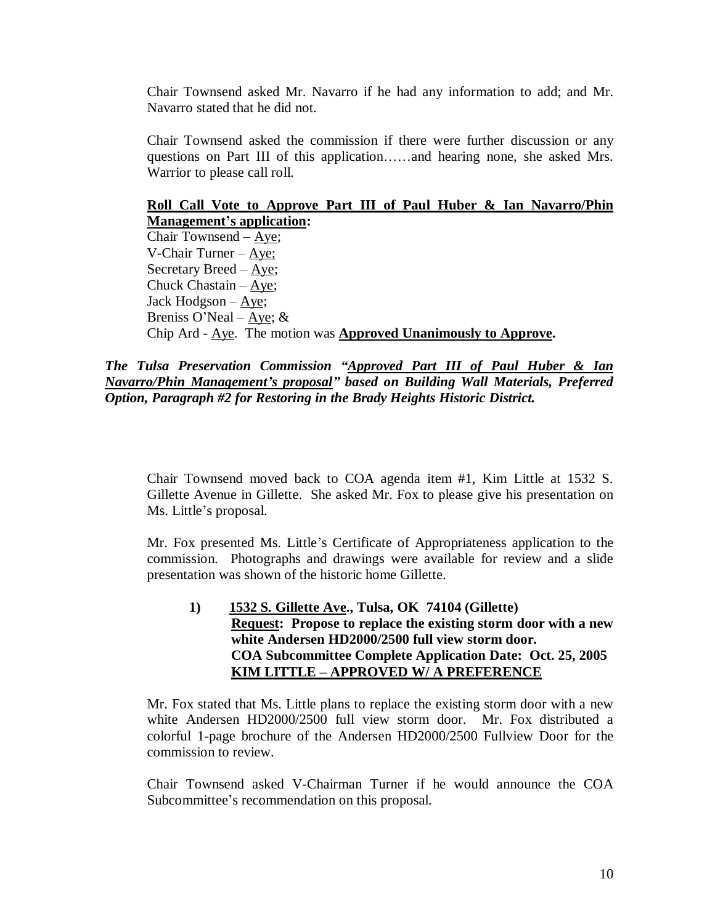Chair Townsend asked Mr. Navarro if he had any information to add; and Mr. Navarro stated that he did not.

Chair Townsend asked the commission if there were further discussion or any questions on Part III of this application……and hearing none, she asked Mrs. Warrior to please call roll.

# **Roll Call Vote to Approve Part III of Paul Huber & Ian Navarro/Phin Management's application:**

Chair Townsend –Aye; V-Chair Turner –Aye; Secretary Breed –Aye; Chuck Chastain –Aye; Jack Hodgson –Aye; Breniss O'Neal – Aye;  $&$ Chip Ard - Aye. The motion was **Approved Unanimously to Approve.**

*The Tulsa Preservation Commission "Approved Part III of Paul Huber & Ian Navarro/Phin Management's proposal" based on Building Wall Materials, Preferred Option, Paragraph #2 for Restoring in the Brady Heights Historic District.*

Chair Townsend moved back to COA agenda item #1, Kim Little at 1532 S. Gillette Avenue in Gillette. She asked Mr. Fox to please give his presentation on Ms. Little's proposal.

Mr. Fox presented Ms. Little's Certificate of Appropriateness application to the commission. Photographs and drawings were available for review and a slide presentation was shown of the historic home Gillette.

**1) 1532 S. Gillette Ave., Tulsa, OK 74104 (Gillette) Request: Propose to replace the existing storm door with a new white Andersen HD2000/2500 full view storm door. COA Subcommittee Complete Application Date: Oct. 25, 2005 KIM LITTLE – APPROVED W/ A PREFERENCE**

Mr. Fox stated that Ms. Little plans to replace the existing storm door with a new white Andersen HD2000/2500 full view storm door. Mr. Fox distributed a colorful 1-page brochure of the Andersen HD2000/2500 Fullview Door for the commission to review.

Chair Townsend asked V-Chairman Turner if he would announce the COA Subcommittee's recommendation on this proposal.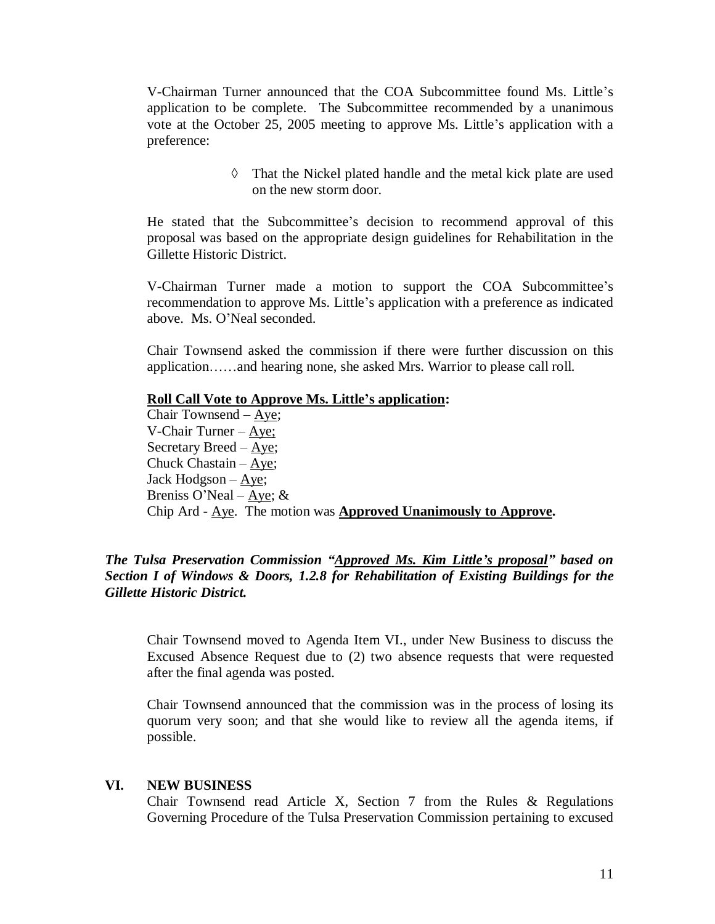V-Chairman Turner announced that the COA Subcommittee found Ms. Little's application to be complete. The Subcommittee recommended by a unanimous vote at the October 25, 2005 meeting to approve Ms. Little's application with a preference:

> $\Diamond$  That the Nickel plated handle and the metal kick plate are used on the new storm door.

He stated that the Subcommittee's decision to recommend approval of this proposal was based on the appropriate design guidelines for Rehabilitation in the Gillette Historic District.

V-Chairman Turner made a motion to support the COA Subcommittee's recommendation to approve Ms. Little's application with a preference as indicated above. Ms. O'Neal seconded.

Chair Townsend asked the commission if there were further discussion on this application……and hearing none, she asked Mrs. Warrior to please call roll.

**Roll Call Vote to Approve Ms. Little's application:**

Chair Townsend –Aye; V-Chair Turner –Aye; Secretary Breed  $-\underline{Aye}$ ; Chuck Chastain –  $\angle$ Aye; Jack Hodgson –Aye; Breniss O'Neal – Aye;  $&$ Chip Ard - Aye. The motion was **Approved Unanimously to Approve.**

# *The Tulsa Preservation Commission "Approved Ms. Kim Little's proposal" based on Section I of Windows & Doors, 1.2.8 for Rehabilitation of Existing Buildings for the Gillette Historic District.*

Chair Townsend moved to Agenda Item VI., under New Business to discuss the Excused Absence Request due to (2) two absence requests that were requested after the final agenda was posted.

Chair Townsend announced that the commission was in the process of losing its quorum very soon; and that she would like to review all the agenda items, if possible.

#### **VI. NEW BUSINESS**

Chair Townsend read Article X, Section 7 from the Rules & Regulations Governing Procedure of the Tulsa Preservation Commission pertaining to excused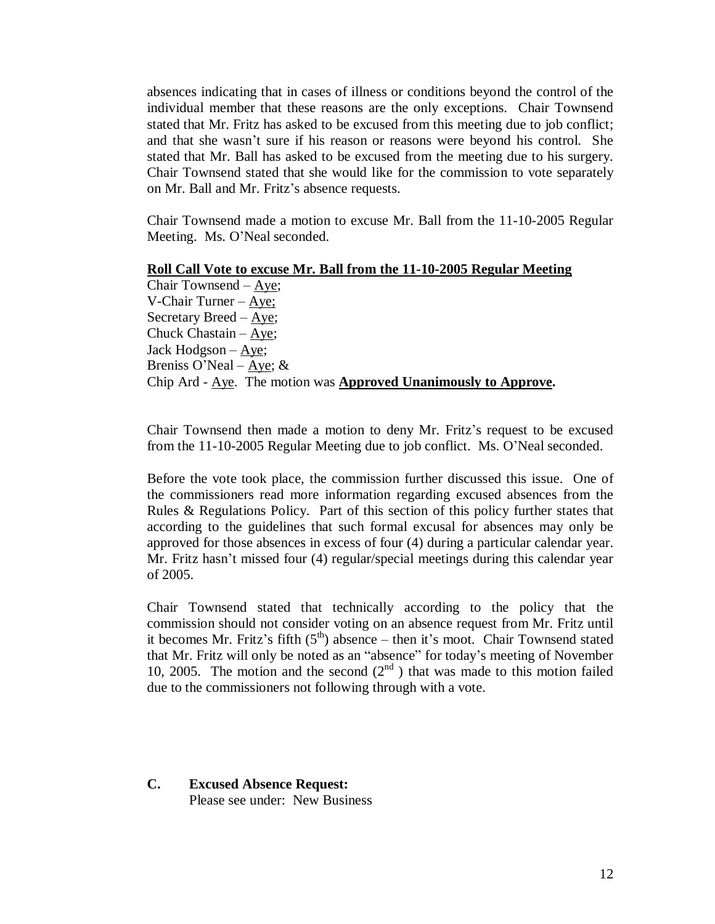absences indicating that in cases of illness or conditions beyond the control of the individual member that these reasons are the only exceptions. Chair Townsend stated that Mr. Fritz has asked to be excused from this meeting due to job conflict; and that she wasn't sure if his reason or reasons were beyond his control. She stated that Mr. Ball has asked to be excused from the meeting due to his surgery. Chair Townsend stated that she would like for the commission to vote separately on Mr. Ball and Mr. Fritz's absence requests.

Chair Townsend made a motion to excuse Mr. Ball from the 11-10-2005 Regular Meeting. Ms. O'Neal seconded.

#### **Roll Call Vote to excuse Mr. Ball from the 11-10-2005 Regular Meeting**

Chair Townsend –Aye; V-Chair Turner –Aye; Secretary Breed –Aye; Chuck Chastain –  $Aye$ ; Jack Hodgson –Aye; Breniss O'Neal –  $Aye$ ; & Chip Ard - Aye. The motion was **Approved Unanimously to Approve.**

Chair Townsend then made a motion to deny Mr. Fritz's request to be excused from the 11-10-2005 Regular Meeting due to job conflict. Ms. O'Neal seconded.

Before the vote took place, the commission further discussed this issue. One of the commissioners read more information regarding excused absences from the Rules & Regulations Policy. Part of this section of this policy further states that according to the guidelines that such formal excusal for absences may only be approved for those absences in excess of four (4) during a particular calendar year. Mr. Fritz hasn't missed four (4) regular/special meetings during this calendar year of 2005.

Chair Townsend stated that technically according to the policy that the commission should not consider voting on an absence request from Mr. Fritz until it becomes Mr. Fritz's fifth  $(5<sup>th</sup>)$  absence – then it's moot. Chair Townsend stated that Mr. Fritz will only be noted as an "absence" for today's meeting of November 10, 2005. The motion and the second  $(2<sup>nd</sup>)$  that was made to this motion failed due to the commissioners not following through with a vote.

# **C. Excused Absence Request:**

Please see under: New Business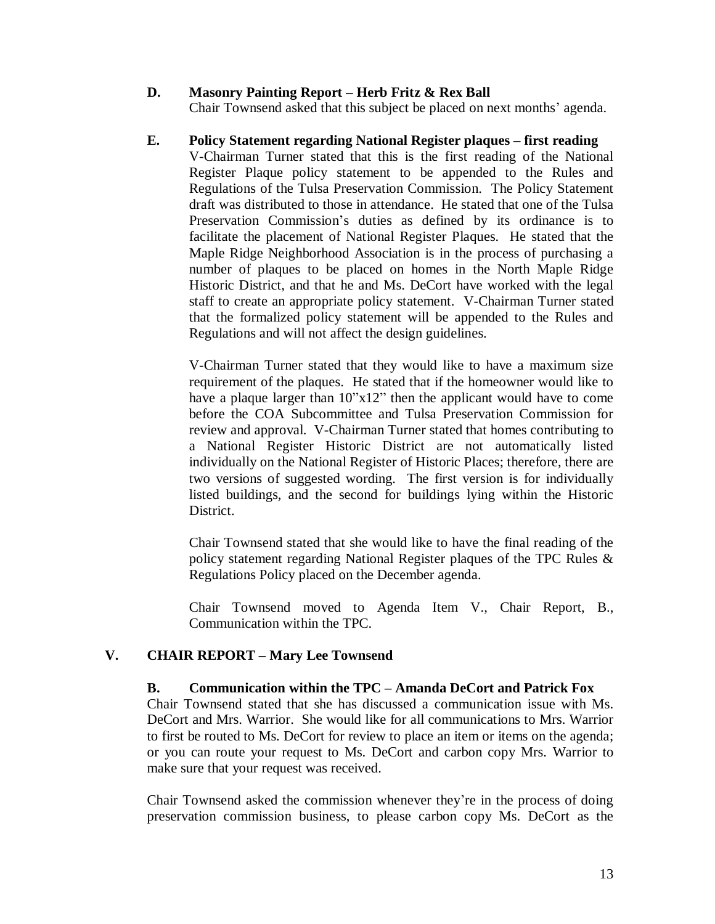# **D. Masonry Painting Report – Herb Fritz & Rex Ball**

Chair Townsend asked that this subject be placed on next months' agenda.

# **E. Policy Statement regarding National Register plaques – first reading**

V-Chairman Turner stated that this is the first reading of the National Register Plaque policy statement to be appended to the Rules and Regulations of the Tulsa Preservation Commission. The Policy Statement draft was distributed to those in attendance. He stated that one of the Tulsa Preservation Commission's duties as defined by its ordinance is to facilitate the placement of National Register Plaques. He stated that the Maple Ridge Neighborhood Association is in the process of purchasing a number of plaques to be placed on homes in the North Maple Ridge Historic District, and that he and Ms. DeCort have worked with the legal staff to create an appropriate policy statement. V-Chairman Turner stated that the formalized policy statement will be appended to the Rules and Regulations and will not affect the design guidelines.

V-Chairman Turner stated that they would like to have a maximum size requirement of the plaques. He stated that if the homeowner would like to have a plaque larger than 10"x12" then the applicant would have to come before the COA Subcommittee and Tulsa Preservation Commission for review and approval. V-Chairman Turner stated that homes contributing to a National Register Historic District are not automatically listed individually on the National Register of Historic Places; therefore, there are two versions of suggested wording. The first version is for individually listed buildings, and the second for buildings lying within the Historic District.

Chair Townsend stated that she would like to have the final reading of the policy statement regarding National Register plaques of the TPC Rules & Regulations Policy placed on the December agenda.

Chair Townsend moved to Agenda Item V., Chair Report, B., Communication within the TPC.

# **V. CHAIR REPORT – Mary Lee Townsend**

# **B. Communication within the TPC – Amanda DeCort and Patrick Fox**

Chair Townsend stated that she has discussed a communication issue with Ms. DeCort and Mrs. Warrior. She would like for all communications to Mrs. Warrior to first be routed to Ms. DeCort for review to place an item or items on the agenda; or you can route your request to Ms. DeCort and carbon copy Mrs. Warrior to make sure that your request was received.

Chair Townsend asked the commission whenever they're in the process of doing preservation commission business, to please carbon copy Ms. DeCort as the